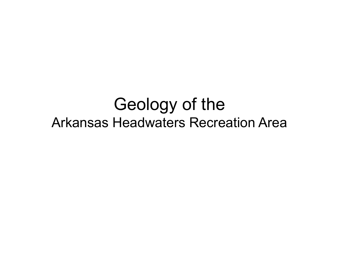#### Geology of the Arkansas Headwaters Recreation Area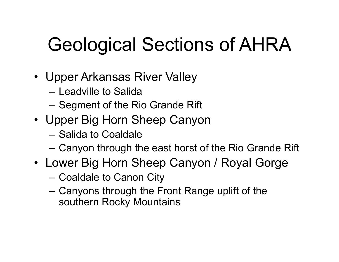#### Geological Sections of AHRA

- Upper Arkansas River Valley
	- Leadville to Salida
	- Segment of the Rio Grande Rift
- Upper Big Horn Sheep Canyon
	- Salida to Coaldale
	- Canyon through the east horst of the Rio Grande Rift
- Lower Big Horn Sheep Canyon / Royal Gorge
	- Coaldale to Canon City
	- – Canyons through the Front Range uplift of the southern Rocky Mountains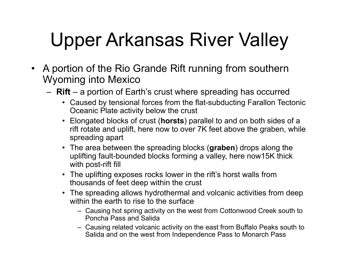## Upper Arkansas River Valley

- A portion of the Rio Grande Rift running from southern Wyoming into Mexico
	- **Rift** a portion of Earth's crust where spreading has occurred
		- Caused by tensional forces from the flat-subducting Farallon Tectonic Oceanic Plate activity below the crust
		- Elongated blocks of crust (**horsts**) parallel to and on both sides of a rift rotate and uplift, here now to over 7K feet above the graben, while spreading apart
		- The area between the spreading blocks (**graben**) drops along the uplifting fault-bounded blocks forming a valley, here now15K thick with post-rift fill
		- The uplifting exposes rocks lower in the rift's horst walls from thousands of feet deep within the crust
		- The spreading allows hydrothermal and volcanic activities from deep within the earth to rise to the surface
			- Causing hot spring activity on the west from Cottonwood Creek south to Poncha Pass and Salida
			- Causing related volcanic activity on the east from Buffalo Peaks south to Salida and on the west from Independence Pass to Monarch Pass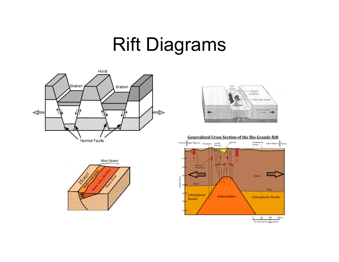#### Rift Diagrams







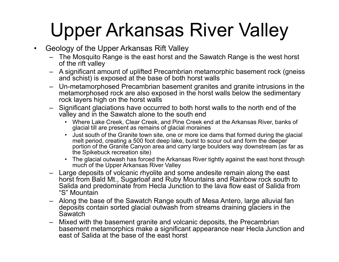### Upper Arkansas River Valley

- $\bullet$  Geology of the Upper Arkansas Rift Valley
	- The Mosquito Range is the east horst and the Sawatch Range is the west horst of the rift valley
	- A significant amount of uplifted Precambrian metamorphic basement rock (gneiss and schist) is exposed at the base of both horst walls
	- Un-metamorphosed Precambrian basement granites and granite intrusions in the metamorphosed rock are also exposed in the horst walls below the sedimentary rock layers high on the horst walls
	- Significant glaciations have occurred to both horst walls to the north end of the valley and in the Sawatch alone to the south end
		- Where Lake Creek, Clear Creek, and Pine Creek end at the Arkansas River, banks of glacial till are present as remains of glacial moraines
		- Just south of the Granite town site, one or more ice dams that formed during the glacial melt period, creating a 500 foot deep lake, burst to scour out and form the deeper portion of the Granite Canyon area and carry large boulders way downstream (as far as the Spikebuck recreation site)
		- The glacial outwash has forced the Arkansas River tightly against the east horst through much of the Upper Arkansas River Valley
	- Large deposits of volcanic rhyolite and some andesite remain along the east horst from Bald Mt., Sugarloaf and Ruby Mountains and Rainbow rock south to Salida and predominate from Hecla Junction to the lava flow east of Salida from "S" Mountain
	- Along the base of the Sawatch Range south of Mesa Antero, large alluvial fan deposits contain sorted glacial outwash from streams draining glaciers in the **Sawatch**
	- Mixed with the basement granite and volcanic deposits, the Precambrian basement metamorphics make a significant appearance near Hecla Junction and east of Salida at the base of the east horst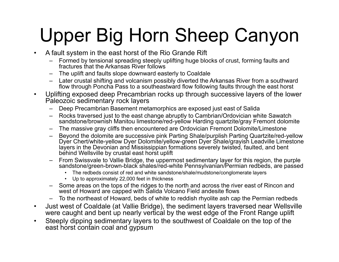# Upper Big Horn Sheep Canyon

- • A fault system in the east horst of the Rio Grande Rift
	- Formed by tensional spreading steeply uplifting huge blocks of crust, forming faults and fractures that the Arkansas River follows
	- The uplift and faults slope downward easterly to Coaldale
	- Later crustal shifting and volcanism possibly diverted the Arkansas River from a southward flow through Poncha Pass to a southeastward flow following faults through the east horst
- • Uplifting exposed deep Precambrian rocks up through successive layers of the lower Paleozoic sedimentary rock layers
	- Deep Precambrian Basement metamorphics are exposed just east of Salida
	- Rocks traversed just to the east change abruptly to Cambrian/Ordovician white Sawatch sandstone/brownish Manitou limestone/red-yellow Harding quartzite/gray Fremont dolomite
	- The massive gray cliffs then encountered are Ordovician Fremont Dolomite/Limestone
	- Beyond the dolomite are successive pink Parting Shale/purplish Parting Quartzite/red-yellow Dyer Chert/white-yellow Dyer Dolomite/yellow-green Dyer Shale/grayish Leadville Limestone layers in the Devonian and Mississippian formations severely twisted, faulted, and bent behind Wellsville by crustal east horst uplift
	- From Swissvale to Vallie Bridge, the uppermost sedimentary layer for this region, the purple sandstone/green-brown-black shales/red-white Pennsylvanian/Permian redbeds, are passed
		- The redbeds consist of red and white sandstone/shale/mudstone/conglomerate layers
		- Up to approximately 22,000 feet in thickness
	- Some areas on the tops of the ridges to the north and across the river east of Rincon and west of Howard are capped with Salida Volcano Field andesite flows
	- To the northeast of Howard, beds of white to reddish rhyolite ash cap the Permian redbeds
- • Just west of Coaldale (at Vallie Bridge), the sediment layers traversed near Wellsville were caught and bent up nearly vertical by the west edge of the Front Range uplift
- • Steeply dipping sedimentary layers to the southwest of Coaldale on the top of the east horst contain coal and gypsum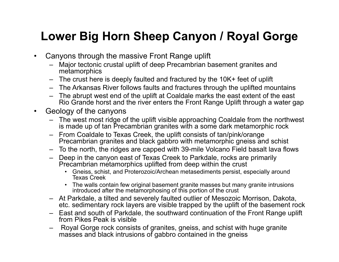#### **Lower Big Horn Sheep Canyon / Royal Gorge**

- $\bullet$  Canyons through the massive Front Range uplift
	- Major tectonic crustal uplift of deep Precambrian basement granites and metamorphics
	- The crust here is deeply faulted and fractured by the 10K+ feet of uplift
	- The Arkansas River follows faults and fractures through the uplifted mountains
	- The abrupt west end of the uplift at Coaldale marks the east extent of the east Rio Grande horst and the river enters the Front Range Uplift through a water gap
- $\bullet$  Geology of the canyons
	- The west most ridge of the uplift visible approaching Coaldale from the northwest is made up of tan Precambrian granites with a some dark metamorphic rock
	- From Coaldale to Texas Creek, the uplift consists of tan/pink/orange Precambrian granites and black gabbro with metamorphic gneiss and schist
	- To the north, the ridges are capped with 39-mile Volcano Field basalt lava flows
	- Deep in the canyon east of Texas Creek to Parkdale, rocks are primarily Precambrian metamorphics uplifted from deep within the crust
		- Gneiss, schist, and Proterozoic/Archean metasediments persist, especially around Texas Creek
		- The walls contain few original basement granite masses but many granite intrusions introduced after the metamorphosing of this portion of the crust
	- At Parkdale, a tilted and severely faulted outlier of Mesozoic Morrison, Dakota, etc. sedimentary rock layers are visible trapped by the uplift of the basement rock
	- East and south of Parkdale, the southward continuation of the Front Range uplift from Pikes Peak is visible
	- Royal Gorge rock consists of granites, gneiss, and schist with huge granite masses and black intrusions of gabbro contained in the gneiss